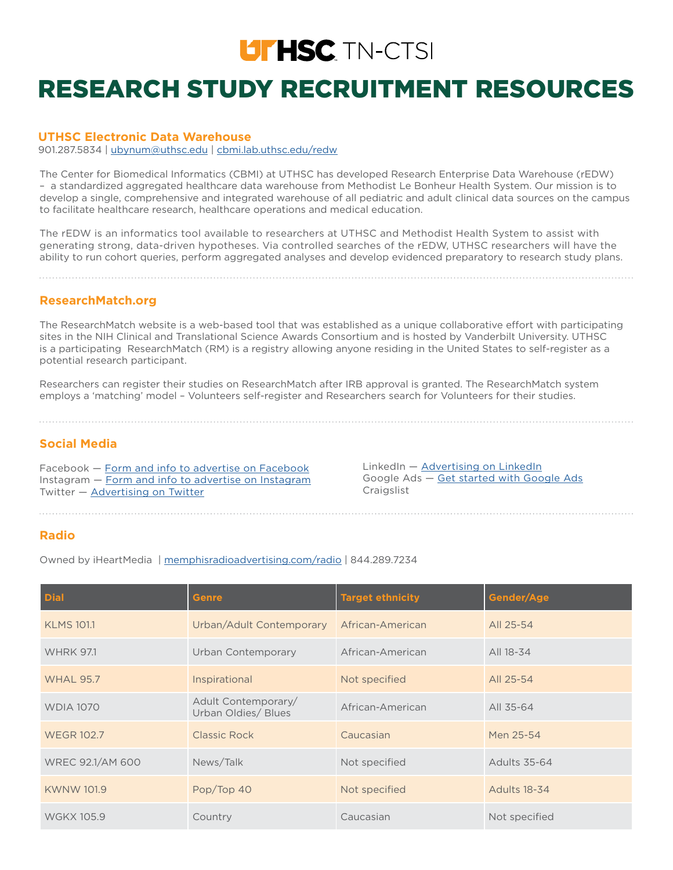# **LITHSC** TN-CTSI

## RESEARCH STUDY RECRUITMENT RESOURCES

#### **UTHSC Electronic Data Warehouse**

901.287.5834 | [ubynum@uthsc.edu](mailto:ubynum@uthsc.edu) | [cbmi.lab.uthsc.edu/redw](mailto:cbmi.lab.uthsc.edu/redw?subject=)

The Center for Biomedical Informatics (CBMI) at UTHSC has developed Research Enterprise Data Warehouse (rEDW) – a standardized aggregated healthcare data warehouse from Methodist Le Bonheur Health System. Our mission is to develop a single, comprehensive and integrated warehouse of all pediatric and adult clinical data sources on the campus to facilitate healthcare research, healthcare operations and medical education.

The rEDW is an informatics tool available to researchers at UTHSC and Methodist Health System to assist with generating strong, data-driven hypotheses. Via controlled searches of the rEDW, UTHSC researchers will have the ability to run cohort queries, perform aggregated analyses and develop evidenced preparatory to research study plans.

#### **ResearchMatch.org**

The ResearchMatch website is a web-based tool that was established as a unique collaborative effort with participating sites in the NIH Clinical and Translational Science Awards Consortium and is hosted by Vanderbilt University. UTHSC is a participating ResearchMatch (RM) is a registry allowing anyone residing in the United States to self-register as a potential research participant.

Researchers can register their studies on ResearchMatch after IRB approval is granted. The ResearchMatch system employs a 'matching' model – Volunteers self-register and Researchers search for Volunteers for their studies.

#### **Social Media**

Facebook — [Form and info to advertise on Facebook](https://www.facebook.com/business/help/714656935225188) Instagram — [Form and info to advertise on Instagram](https://www.facebook.com/business/help/793315701035887) Twitter — [Advertising on Twitter](https://business.twitter.com/en/a/get-started.html)

LinkedIn - [Advertising on LinkedIn](https://business.linkedin.com/marketing-solutions/cx/17/06/advertise-on-linkedin?src=go-pa&trk=sem_lms_gaw&veh=Google_Search_NAMER_US_NB-Competitor_Alpha_DR_English_254035744987__twitter%20advertising_c__kwd-11823262652_728634853&gclid=EAIaIQobChMIuNK_nevh4gIVhksNCh2DPQ9qEAAYASAAEgLWevD_BwE) Google Ads — [Get started with Google Ads](https://ads.google.com/start/?sourceid=awo&subid=us-en-ha-g-aw-c-dr_df_1!o2~EAIaIQobChMIoYmjssSl4wIVrgOzAB3KvAgKEAAYASAAEgKExfD_BwE~%7Badgroup%7D~kwd-94527731~1072012490~284305340536&gclid=EAIaIQobChMIoYmjssSl4wIVrgOzAB3KvAgKEAAYASAAEgKExfD_BwE#?modal_active=none) Craigslist

#### **Radio**

Owned by iHeartMedia | [memphisradioadvertising.com/radio](http://memphisradioadvertising.com/radio) | 844.289.7234

| <b>Dial</b>       | <b>Genre</b>                               | <b>Target ethnicity</b> | Gender/Age    |
|-------------------|--------------------------------------------|-------------------------|---------------|
| <b>KLMS 101.1</b> | Urban/Adult Contemporary                   | African-American        | All 25-54     |
| <b>WHRK 97.1</b>  | Urban Contemporary                         | African-American        | All 18-34     |
| <b>WHAL 95.7</b>  | Inspirational                              | Not specified           | All 25-54     |
| <b>WDIA 1070</b>  | Adult Contemporary/<br>Urban Oldies/ Blues | African-American        | All 35-64     |
| <b>WEGR 102.7</b> | Classic Rock                               | Caucasian               | Men 25-54     |
| WREC 92.1/AM 600  | News/Talk                                  | Not specified           | Adults 35-64  |
| <b>KWNW 101.9</b> | Pop/Top 40                                 | Not specified           | Adults 18-34  |
| <b>WGKX 105.9</b> | Country                                    | Caucasian               | Not specified |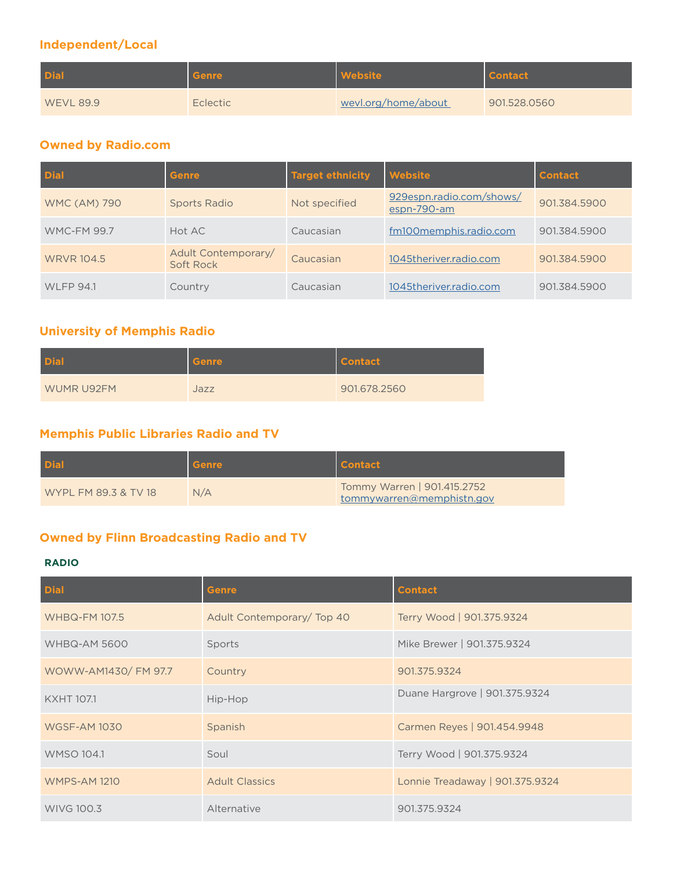## **Independent/Local**

| <b>Dial</b>      | <b>Genre</b>    | Website             | <b>Contact</b> |
|------------------|-----------------|---------------------|----------------|
| <b>WEVL 89.9</b> | <b>Eclectic</b> | wevl.org/home/about | 901.528.0560   |

### **Owned by Radio.com**

| <b>Dial</b>         | <b>Genre</b>                     | <b>Target ethnicity</b> | <b>Website</b>                          | <b>Contact</b> |
|---------------------|----------------------------------|-------------------------|-----------------------------------------|----------------|
| <b>WMC (AM) 790</b> | Sports Radio                     | Not specified           | 929espn.radio.com/shows/<br>espn-790-am | 901.384.5900   |
| <b>WMC-FM 99.7</b>  | Hot AC                           | Caucasian               | fm100memphis.radio.com                  | 901.384.5900   |
| <b>WRVR 104.5</b>   | Adult Contemporary/<br>Soft Rock | Caucasian               | 1045theriver.radio.com                  | 901.384.5900   |
| <b>WLFP 94.1</b>    | Country                          | Caucasian               | 1045theriver.radio.com                  | 901.384.5900   |

## **University of Memphis Radio**

| <b>Dial</b> | Genre | <b>Contact</b> |
|-------------|-------|----------------|
| WUMR U92FM  | Jazz  | 901.678.2560   |

## **Memphis Public Libraries Radio and TV**

| <b>Dial</b>          | Genre | <b>Contact</b>                                           |
|----------------------|-------|----------------------------------------------------------|
| WYPL FM 89.3 & TV 18 | N/A   | Tommy Warren   901.415.2752<br>tommywarren@memphistn.gov |

## **Owned by Flinn Broadcasting Radio and TV**

#### **RADIO**

| <b>Dial</b>          | <b>Genre</b>               | <b>Contact</b>                  |
|----------------------|----------------------------|---------------------------------|
| <b>WHBQ-FM 107.5</b> | Adult Contemporary/ Top 40 | Terry Wood   901.375.9324       |
| <b>WHBQ-AM 5600</b>  | Sports                     | Mike Brewer   901.375.9324      |
| WOWW-AM1430/ FM 97.7 | Country                    | 901.375.9324                    |
| <b>KXHT 107.1</b>    | Hip-Hop                    | Duane Hargrove   901.375.9324   |
| <b>WGSF-AM 1030</b>  | Spanish                    | Carmen Reyes   901.454.9948     |
| <b>WMSO 104.1</b>    | Soul                       | Terry Wood   901.375.9324       |
| <b>WMPS-AM 1210</b>  | <b>Adult Classics</b>      | Lonnie Treadaway   901.375.9324 |
| <b>WIVG 100.3</b>    | Alternative                | 901.375.9324                    |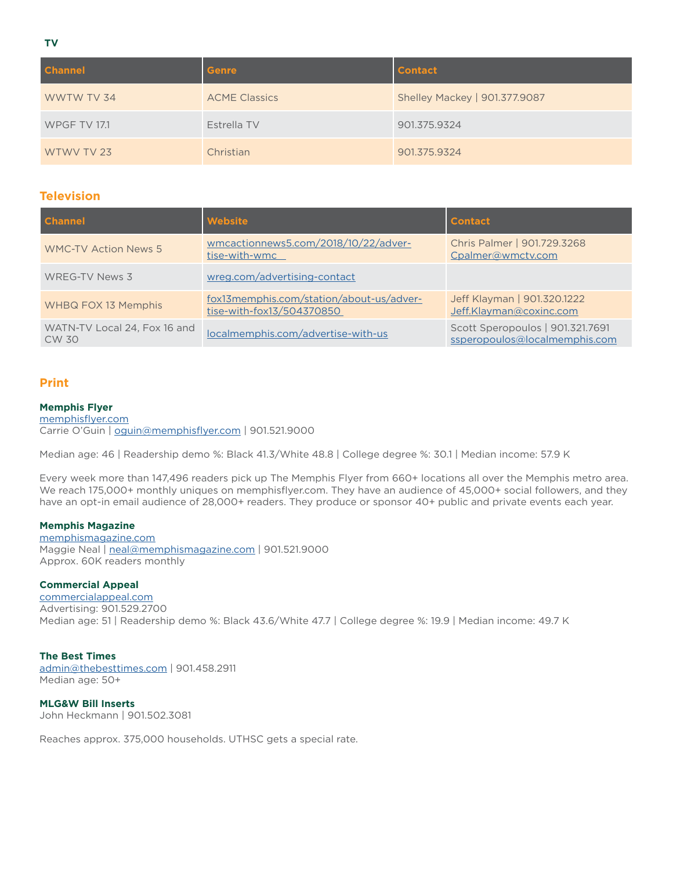**TV**

| <b>Channel</b>      | <b>Genre</b>         | <b>Contact</b>                |
|---------------------|----------------------|-------------------------------|
| WWTW TV 34          | <b>ACME Classics</b> | Shelley Mackey   901.377.9087 |
| <b>WPGF TV 17.1</b> | Estrella TV          | 901.375.9324                  |
| WTWV TV 23          | Christian            | 901.375.9324                  |

#### **Television**

| <b>Channel</b>                        | Website                                                               | <b>Contact</b>                                                    |
|---------------------------------------|-----------------------------------------------------------------------|-------------------------------------------------------------------|
| <b>WMC-TV Action News 5</b>           | wmcactionnews5.com/2018/10/22/adver-<br>tise-with-wmc                 | Chris Palmer   901.729.3268<br>Cpalmer@wmctv.com                  |
| WREG-TV News 3                        | wreg.com/advertising-contact                                          |                                                                   |
| WHBQ FOX 13 Memphis                   | fox13memphis.com/station/about-us/adver-<br>tise-with-fox13/504370850 | Jeff Klayman   901.320.1222<br>Jeff.Klayman@coxinc.com            |
| WATN-TV Local 24, Fox 16 and<br>CW 30 | localmemphis.com/advertise-with-us                                    | Scott Speropoulos   901.321.7691<br>ssperopoulos@localmemphis.com |

#### **Print**

#### **Memphis Flyer**

[memphisflyer.com](http://memphisflyer.com) Carrie O'Guin | [oguin@memphisflyer.com](mailto:oguin%40memphisflyer.com?subject=) | 901.521.9000

Median age: 46 | Readership demo %: Black 41.3/White 48.8 | College degree %: 30.1 | Median income: 57.9 K

Every week more than 147,496 readers pick up The Memphis Flyer from 660+ locations all over the Memphis metro area. We reach 175,000+ monthly uniques on memphisflyer.com. They have an audience of 45,000+ social followers, and they have an opt-in email audience of 28,000+ readers. They produce or sponsor 40+ public and private events each year.

#### **Memphis Magazine**

[memphismagazine.com](http://memphismagazine.com) Maggie Neal | [neal@memphismagazine.com](mailto:neal%40memphismagazine.com?subject=) | 901.521.9000 Approx. 60K readers monthly

#### **Commercial Appeal**

[commercialappeal.com](http://commercialappeal.com) Advertising: 901.529.2700 Median age: 51 | Readership demo %: Black 43.6/White 47.7 | College degree %: 19.9 | Median income: 49.7 K

#### **The Best Times**

[admin@thebesttimes.com](mailto:admin%40thebesttimes.com?subject=) | 901.458.2911 Median age: 50+

**MLG&W Bill Inserts** John Heckmann | 901.502.3081

Reaches approx. 375,000 households. UTHSC gets a special rate.